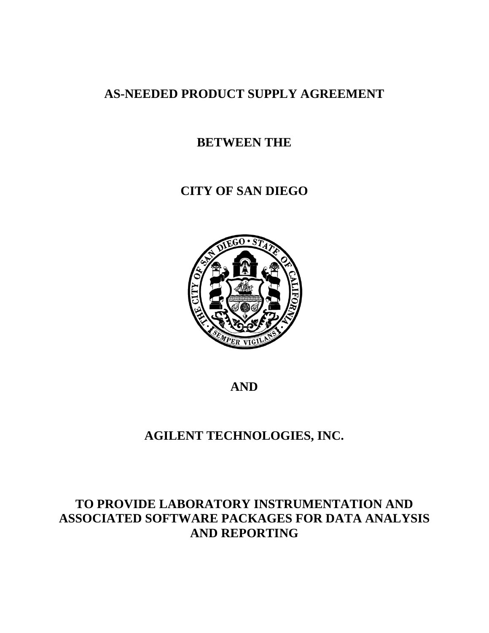# **AS-NEEDED PRODUCT SUPPLY AGREEMENT**

# **BETWEEN THE**

# **CITY OF SAN DIEGO**



**AND**

# **AGILENT TECHNOLOGIES, INC.**

# **TO PROVIDE LABORATORY INSTRUMENTATION AND ASSOCIATED SOFTWARE PACKAGES FOR DATA ANALYSIS AND REPORTING**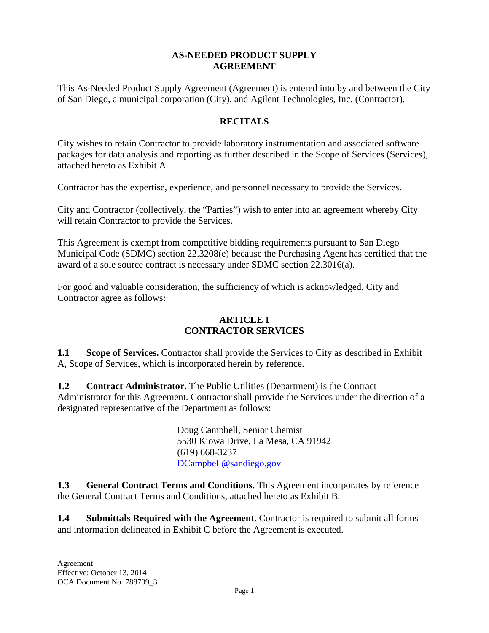## **AS-NEEDED PRODUCT SUPPLY AGREEMENT**

This As-Needed Product Supply Agreement (Agreement) is entered into by and between the City of San Diego, a municipal corporation (City), and Agilent Technologies, Inc. (Contractor).

## **RECITALS**

City wishes to retain Contractor to provide laboratory instrumentation and associated software packages for data analysis and reporting as further described in the Scope of Services (Services), attached hereto as Exhibit A.

Contractor has the expertise, experience, and personnel necessary to provide the Services.

City and Contractor (collectively, the "Parties") wish to enter into an agreement whereby City will retain Contractor to provide the Services.

This Agreement is exempt from competitive bidding requirements pursuant to San Diego Municipal Code (SDMC) section 22.3208(e) because the Purchasing Agent has certified that the award of a sole source contract is necessary under SDMC section 22.3016(a).

For good and valuable consideration, the sufficiency of which is acknowledged, City and Contractor agree as follows:

## **ARTICLE I CONTRACTOR SERVICES**

**1.1** Scope of Services. Contractor shall provide the Services to City as described in Exhibit A, Scope of Services, which is incorporated herein by reference.

**1.2 Contract Administrator.** The Public Utilities (Department) is the Contract Administrator for this Agreement. Contractor shall provide the Services under the direction of a designated representative of the Department as follows:

> Doug Campbell, Senior Chemist 5530 Kiowa Drive, La Mesa, CA 91942 (619) 668-3237 DCampbell@sandiego.gov

**1.3 General Contract Terms and Conditions.** This Agreement incorporates by reference the General Contract Terms and Conditions, attached hereto as Exhibit B.

**1.4 Submittals Required with the Agreement**. Contractor is required to submit all forms and information delineated in Exhibit C before the Agreement is executed.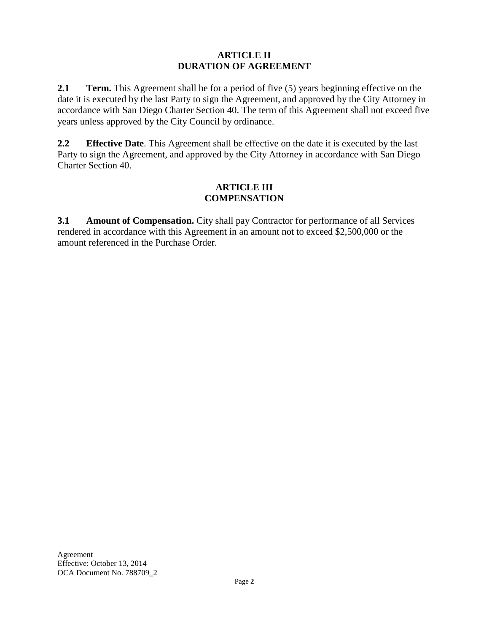## **ARTICLE II DURATION OF AGREEMENT**

**2.1** Term. This Agreement shall be for a period of five (5) years beginning effective on the date it is executed by the last Party to sign the Agreement, and approved by the City Attorney in accordance with San Diego Charter Section 40. The term of this Agreement shall not exceed five years unless approved by the City Council by ordinance.

**2.2 Effective Date**. This Agreement shall be effective on the date it is executed by the last Party to sign the Agreement, and approved by the City Attorney in accordance with San Diego Charter Section 40.

### **ARTICLE III COMPENSATION**

**3.1 Amount of Compensation.** City shall pay Contractor for performance of all Services rendered in accordance with this Agreement in an amount not to exceed \$2,500,000 or the amount referenced in the Purchase Order.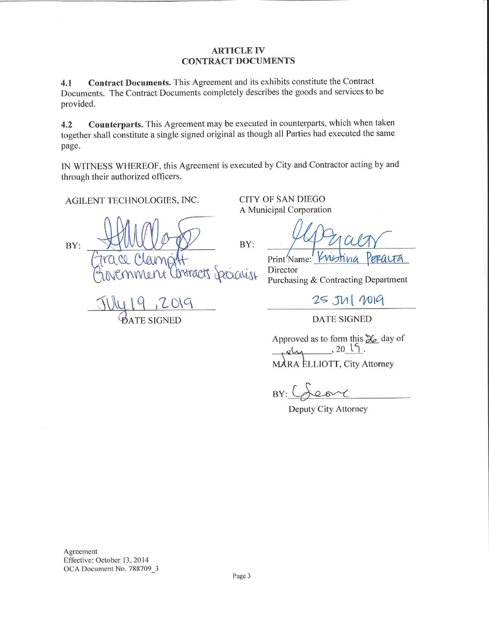#### **ARTICLE IV CONTRACT DOCUMENTS**

Contract Documents. This Agreement and its exhibits constitute the Contract  $4.1$ Documents. The Contract Documents completely describes the goods and services to be provided.

Counterparts. This Agreement may be executed in counterparts, which when taken  $4.2$ together shall constitute a single signed original as though all Parties had executed the same page.

IN WITNESS WHEREOF, this Agreement is executed by City and Contractor acting by and through their authorized officers.

BY:

AGILENT TECHNOLOGIES, INC.

BY: Secratist

**DATE SIGNED** 

**CITY OF SAN DIEGO** A Municipal Corporation

Print Name: Director Purchasing & Contracting Department

25 JUI 2019

**DATE SIGNED** 

Approved as to form this  $\mathcal{Z}_e$  day of  $,2015$ . MARA ELLIOTT, City Attorney

BY:

Deputy City Attorney

Agreement Effective: October 13, 2014 OCA Document No. 788709\_3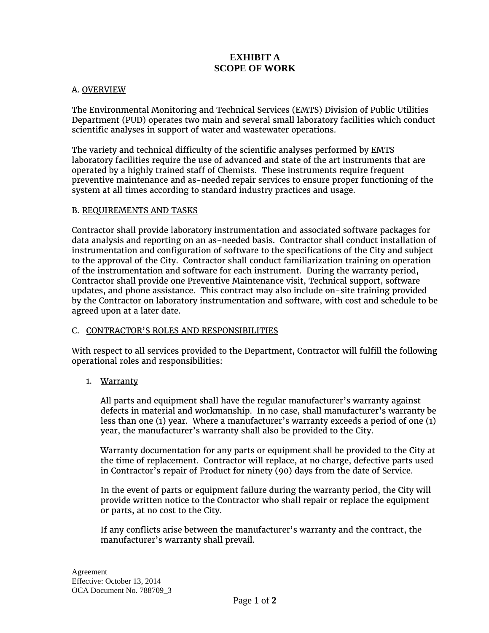## **EXHIBIT A SCOPE OF WORK**

#### A. OVERVIEW

The Environmental Monitoring and Technical Services (EMTS) Division of Public Utilities Department (PUD) operates two main and several small laboratory facilities which conduct scientific analyses in support of water and wastewater operations.

The variety and technical difficulty of the scientific analyses performed by EMTS laboratory facilities require the use of advanced and state of the art instruments that are operated by a highly trained staff of Chemists. These instruments require frequent preventive maintenance and as-needed repair services to ensure proper functioning of the system at all times according to standard industry practices and usage.

#### B. REQUIREMENTS AND TASKS

Contractor shall provide laboratory instrumentation and associated software packages for data analysis and reporting on an as-needed basis. Contractor shall conduct installation of instrumentation and configuration of software to the specifications of the City and subject to the approval of the City. Contractor shall conduct familiarization training on operation of the instrumentation and software for each instrument. During the warranty period, Contractor shall provide one Preventive Maintenance visit, Technical support, software updates, and phone assistance. This contract may also include on-site training provided by the Contractor on laboratory instrumentation and software, with cost and schedule to be agreed upon at a later date.

#### C. CONTRACTOR'S ROLES AND RESPONSIBILITIES

With respect to all services provided to the Department, Contractor will fulfill the following operational roles and responsibilities:

#### 1. Warranty

All parts and equipment shall have the regular manufacturer's warranty against defects in material and workmanship. In no case, shall manufacturer's warranty be less than one (1) year. Where a manufacturer's warranty exceeds a period of one (1) year, the manufacturer's warranty shall also be provided to the City.

Warranty documentation for any parts or equipment shall be provided to the City at the time of replacement. Contractor will replace, at no charge, defective parts used in Contractor's repair of Product for ninety (90) days from the date of Service.

In the event of parts or equipment failure during the warranty period, the City will provide written notice to the Contractor who shall repair or replace the equipment or parts, at no cost to the City.

If any conflicts arise between the manufacturer's warranty and the contract, the manufacturer's warranty shall prevail.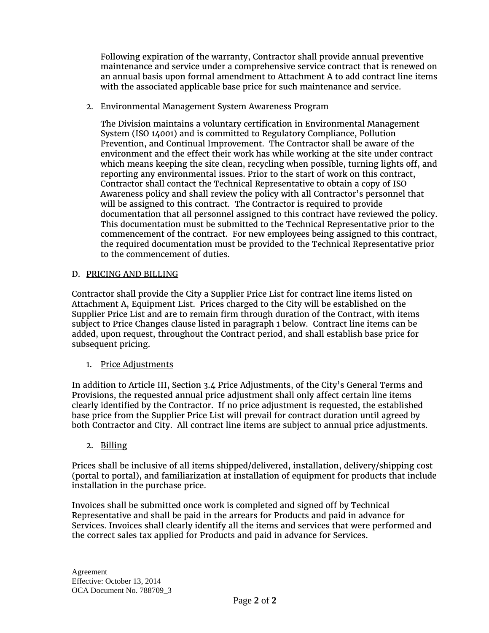Following expiration of the warranty, Contractor shall provide annual preventive maintenance and service under a comprehensive service contract that is renewed on an annual basis upon formal amendment to Attachment A to add contract line items with the associated applicable base price for such maintenance and service.

#### 2. Environmental Management System Awareness Program

The Division maintains a voluntary certification in Environmental Management System (ISO 14001) and is committed to Regulatory Compliance, Pollution Prevention, and Continual Improvement. The Contractor shall be aware of the environment and the effect their work has while working at the site under contract which means keeping the site clean, recycling when possible, turning lights off, and reporting any environmental issues. Prior to the start of work on this contract, Contractor shall contact the Technical Representative to obtain a copy of ISO Awareness policy and shall review the policy with all Contractor's personnel that will be assigned to this contract. The Contractor is required to provide documentation that all personnel assigned to this contract have reviewed the policy. This documentation must be submitted to the Technical Representative prior to the commencement of the contract. For new employees being assigned to this contract, the required documentation must be provided to the Technical Representative prior to the commencement of duties.

#### D. PRICING AND BILLING

Contractor shall provide the City a Supplier Price List for contract line items listed on Attachment A, Equipment List. Prices charged to the City will be established on the Supplier Price List and are to remain firm through duration of the Contract, with items subject to Price Changes clause listed in paragraph 1 below. Contract line items can be added, upon request, throughout the Contract period, and shall establish base price for subsequent pricing.

#### 1. Price Adjustments

In addition to Article III, Section 3.4 Price Adjustments, of the City's General Terms and Provisions, the requested annual price adjustment shall only affect certain line items clearly identified by the Contractor. If no price adjustment is requested, the established base price from the Supplier Price List will prevail for contract duration until agreed by both Contractor and City. All contract line items are subject to annual price adjustments.

#### 2. Billing

Prices shall be inclusive of all items shipped/delivered, installation, delivery/shipping cost (portal to portal), and familiarization at installation of equipment for products that include installation in the purchase price.

Invoices shall be submitted once work is completed and signed off by Technical Representative and shall be paid in the arrears for Products and paid in advance for Services. Invoices shall clearly identify all the items and services that were performed and the correct sales tax applied for Products and paid in advance for Services.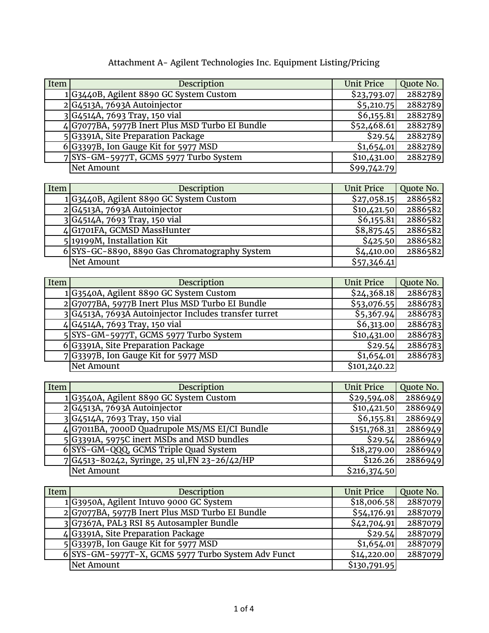|  |  |  |  |  | Attachment A- Agilent Technologies Inc. Equipment Listing/Pricing |
|--|--|--|--|--|-------------------------------------------------------------------|
|--|--|--|--|--|-------------------------------------------------------------------|

| Item | Description                                     | <b>Unit Price</b> | Quote No. |
|------|-------------------------------------------------|-------------------|-----------|
|      | 1G3440B, Agilent 8890 GC System Custom          | \$23,793.07       | 2882789   |
|      | $2 G4513A, 7693A$ Autoinjector                  | \$5,210.75        | 2882789   |
|      | 3 G4514A, 7693 Tray, 150 vial                   | \$6,155.81        | 2882789   |
|      | 4 G7077BA, 5977B Inert Plus MSD Turbo EI Bundle | \$52,468.61       | 2882789   |
|      | 5 G3391A, Site Preparation Package              | \$29.54           | 2882789   |
|      | 6 G3397B, Ion Gauge Kit for 5977 MSD            | \$1,654.01        | 2882789   |
|      | 7 SYS-GM-5977T, GCMS 5977 Turbo System          | \$10,431.00       | 2882789   |
|      | <b>Net Amount</b>                               | \$99,742.79       |           |

| Item | Description                                   | <b>Unit Price</b> | Quote No. |
|------|-----------------------------------------------|-------------------|-----------|
|      | 1 G3440B, Agilent 8890 GC System Custom       | \$27,058.15       | 2886582   |
|      | $2 G4513A, 7693A$ Autoinjector                | \$10,421.50       | 2886582   |
|      | 3 G4514A, 7693 Tray, 150 vial                 | \$6,155.81        | 2886582   |
|      | 4 G1701FA, GCMSD MassHunter                   | \$8,875.45        | 2886582   |
|      | 5 19199M, Installation Kit                    | \$425.50          | 2886582   |
|      | 6 SYS-GC-8890, 8890 Gas Chromatography System | \$4,410.00        | 2886582   |
|      | Net Amount                                    | \$57,346.41       |           |

| Item | Description                                           | <b>Unit Price</b> | Quote No. |
|------|-------------------------------------------------------|-------------------|-----------|
|      | 1 G3540A, Agilent 8890 GC System Custom               | \$24,368.18       | 2886783   |
|      | 2 G7077BA, 5977B Inert Plus MSD Turbo EI Bundle       | \$53,076.55       | 2886783   |
|      | 3 G4513A, 7693A Autoinjector Includes transfer turret | \$5,367.94        | 2886783   |
|      | 4 G4514A, 7693 Tray, 150 vial                         | \$6,313.00        | 2886783   |
|      | 5 SYS-GM-5977T, GCMS 5977 Turbo System                | \$10,431.00       | 2886783   |
|      | 6 G3391A, Site Preparation Package                    | \$29.54           | 2886783   |
|      | 7 G3397B, Ion Gauge Kit for 5977 MSD                  | \$1,654.01        | 2886783   |
|      | <b>Net Amount</b>                                     | \$101,240.22      |           |

| Item | Description                                    | <b>Unit Price</b> | Quote No. |
|------|------------------------------------------------|-------------------|-----------|
|      | 1 G3540A, Agilent 8890 GC System Custom        | \$29,594.08       | 2886949   |
|      | $2 G4513A, 7693A$ Autoinjector                 | \$10,421.50       | 2886949   |
|      | 3 G4514A, 7693 Tray, 150 vial                  | \$6,155.81        | 2886949   |
|      | 4 G7011BA, 7000D Quadrupole MS/MS EI/CI Bundle | \$151,768.31      | 2886949   |
|      | 5 G3391A, 5975C inert MSDs and MSD bundles     | \$29.54           | 2886949   |
|      | 6 SYS-GM-QQQ, GCMS Triple Quad System          | \$18,279.00       | 2886949   |
|      | 7 G4513-80242, Syringe, 25 ul, FN 23-26/42/HP  | \$126.26          | 2886949   |
|      | Net Amount                                     | \$216,374.50      |           |

| Item | Description                                        | <b>Unit Price</b> | Quote No. |
|------|----------------------------------------------------|-------------------|-----------|
|      | 1 G3950A, Agilent Intuvo 9000 GC System            | \$18,006.58       | 2887079   |
|      | 2 G7077BA, 5977B Inert Plus MSD Turbo EI Bundle    | \$54,176.91       | 2887079   |
|      | 3 G7367A, PAL3 RSI 85 Autosampler Bundle           | \$42,704.91       | 2887079   |
|      | $4 G_3$ 391A, Site Preparation Package             | \$29.54           | 2887079   |
|      | 5 G3397B, Ion Gauge Kit for 5977 MSD               | \$1,654.01        | 2887079   |
|      | 6 SYS-GM-5977T-X, GCMS 5977 Turbo System Adv Funct | \$14,220.00       | 2887079   |
|      | Net Amount                                         | \$130,791.95      |           |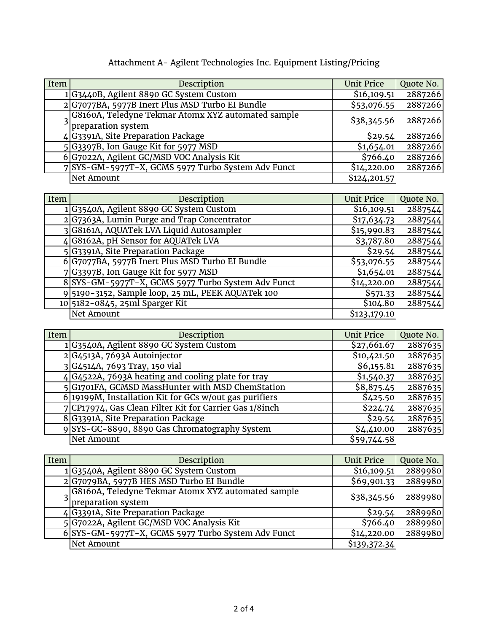| Item | Description                                        | <b>Unit Price</b> | Quote No. |
|------|----------------------------------------------------|-------------------|-----------|
|      | 1 G3440B, Agilent 8890 GC System Custom            | \$16,109.51       | 2887266   |
|      | 2 G7077BA, 5977B Inert Plus MSD Turbo EI Bundle    | \$53,076.55       | 2887266   |
|      | G8160A, Teledyne Tekmar Atomx XYZ automated sample | \$38,345.56       | 2887266   |
|      | 3 preparation system                               |                   |           |
|      | 4 G3391A, Site Preparation Package                 | \$29.54           | 2887266   |
|      | 5 G3397B, Ion Gauge Kit for 5977 MSD               | \$1,654.01        | 2887266   |
|      | 6 G7022A, Agilent GC/MSD VOC Analysis Kit          | \$766.40          | 2887266   |
|      | 7 SYS-GM-5977T-X, GCMS 5977 Turbo System Adv Funct | \$14,220.00       | 2887266   |
|      | Net Amount                                         | \$124,201.57      |           |

# Attachment A- Agilent Technologies Inc. Equipment Listing/Pricing

| Item | Description                                        | <b>Unit Price</b> | Quote No. |
|------|----------------------------------------------------|-------------------|-----------|
|      | 1G3540A, Agilent 8890 GC System Custom             | \$16,109.51       | 2887544   |
|      | 2 G7363A, Lumin Purge and Trap Concentrator        | \$17,634.73       | 2887544   |
|      | 3 G8161A, AQUATek LVA Liquid Autosampler           | \$15,990.83       | 2887544   |
|      | 4 G8162A, pH Sensor for AQUATek LVA                | \$3,787.80        | 2887544   |
|      | 5 G3391A, Site Preparation Package                 | \$29.54           | 2887544   |
|      | 6 G7077BA, 5977B Inert Plus MSD Turbo EI Bundle    | \$53,076.55       | 2887544   |
|      | 7 G3397B, Ion Gauge Kit for 5977 MSD               | \$1,654.01        | 2887544   |
|      | 8 SYS-GM-5977T-X, GCMS 5977 Turbo System Adv Funct | \$14,220.00       | 2887544   |
|      | 9 5190-3152, Sample loop, 25 mL, PEEK AQUATek 100  | \$571.33          | 2887544   |
|      | 10 5182-0845, 25ml Sparger Kit                     | \$104.80          | 2887544   |
|      | Net Amount                                         | \$123,179.10      |           |

| Item | Description                                               | <b>Unit Price</b> | Quote No. |
|------|-----------------------------------------------------------|-------------------|-----------|
|      | 1G3540A, Agilent 8890 GC System Custom                    | \$27,661.67       | 2887635   |
|      | 2 G4513A, 7693A Autoinjector                              | \$10,421.50       | 2887635   |
|      | 3 G4514A, 7693 Tray, 150 vial                             | \$6,155.81        | 2887635   |
|      | $4 G4522A, 7693A$ heating and cooling plate for tray      | \$1,540.37        | 2887635   |
|      | 5 G1701FA, GCMSD MassHunter with MSD ChemStation          | \$8,875.45        | 2887635   |
|      | $6$  19199M, Installation Kit for GCs w/out gas purifiers | \$425.50          | 2887635   |
|      | 7 CP17974, Gas Clean Filter Kit for Carrier Gas 1/8inch   | \$224.74          | 2887635   |
|      | 8 G3391A, Site Preparation Package                        | \$29.54           | 2887635   |
|      | SYS-GC-8890, 8890 Gas Chromatography System               | \$4,410.00        | 2887635   |
|      | Net Amount                                                | \$59,744.58       |           |

| Item | Description                                                              | <b>Unit Price</b> | Quote No. |
|------|--------------------------------------------------------------------------|-------------------|-----------|
|      | 1 G3540A, Agilent 8890 GC System Custom                                  | \$16,109.51       | 2889980   |
|      | $2 G$ 7079BA, 5977B HES MSD Turbo EI Bundle                              | \$69,901.33       | 2889980   |
|      | G8160A, Teledyne Tekmar Atomx XYZ automated sample<br>preparation system | \$38,345.56       | 2889980   |
|      | 4 G3391A, Site Preparation Package                                       | \$29.54           | 2889980   |
|      | 5 G7022A, Agilent GC/MSD VOC Analysis Kit                                | \$766.40          | 2889980   |
|      | 6 SYS-GM-5977T-X, GCMS 5977 Turbo System Adv Funct                       | \$14,220.00       | 2889980   |
|      | Net Amount                                                               | \$139,372.34      |           |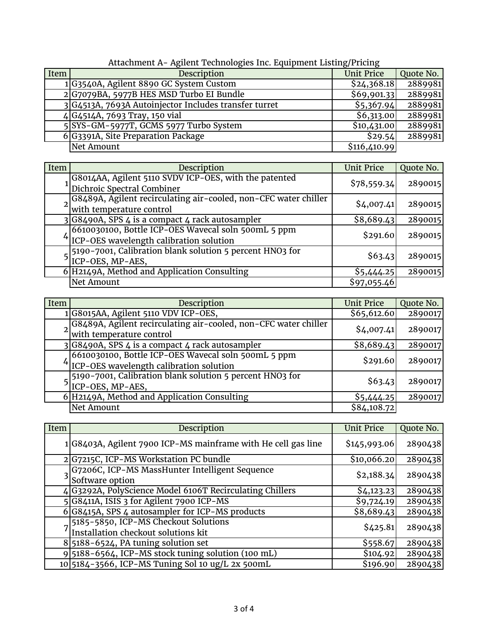| Item | Description                                           | <b>Unit Price</b> | Quote No. |
|------|-------------------------------------------------------|-------------------|-----------|
|      | 1 G3540A, Agilent 8890 GC System Custom               | \$24,368.18       | 2889981   |
|      | 2 G7079BA, 5977B HES MSD Turbo EI Bundle              | \$69,901.33       | 2889981   |
|      | 3 G4513A, 7693A Autoinjector Includes transfer turret | \$5,367.94        | 2889981   |
|      | 4 G4514A, 7693 Tray, 150 vial                         | \$6,313.00        | 2889981   |
|      | 5 SYS-GM-5977T, GCMS 5977 Turbo System                | \$10,431.00       | 2889981   |
|      | 6 G3391A, Site Preparation Package                    | \$29.54           | 2889981   |
|      | Net Amount                                            | \$116,410.99      |           |
|      |                                                       |                   |           |

Attachment A- Agilent Technologies Inc. Equipment Listing/Pricing

| Item | Description                                                                    | <b>Unit Price</b> | Quote No. |
|------|--------------------------------------------------------------------------------|-------------------|-----------|
|      | G8014AA, Agilent 5110 SVDV ICP-OES, with the patented                          | \$78,559.34       | 2890015   |
|      | Dichroic Spectral Combiner                                                     |                   |           |
|      | 2 G8489A, Agilent recirculating air-cooled, non-CFC water chiller              | \$4,007.41        | 2890015   |
|      | with temperature control                                                       |                   |           |
|      | 3 G8490A, SPS 4 is a compact 4 rack autosampler                                | \$8,689.43        | 2890015   |
|      | 6610030100, Bottle ICP-OES Wavecal soln 500mL 5 ppm                            | \$291.60          | 2890015   |
|      | <sup>4</sup> ICP-OES wavelength calibration solution                           |                   |           |
|      |                                                                                |                   |           |
|      | 5 5190-7001, Calibration blank solution 5 percent HNO3 for<br>ICP-OES, MP-AES, | \$63.43           | 2890015   |
|      | 6 H2149A, Method and Application Consulting                                    | \$5,444.25        | 2890015   |
|      | Net Amount                                                                     | \$97,055.46       |           |

| Item | Description                                                                                        | <b>Unit Price</b> | Quote No. |
|------|----------------------------------------------------------------------------------------------------|-------------------|-----------|
|      | I G8015AA, Agilent 5110 VDV ICP-OES,                                                               | \$65,612.60       | 2890017   |
|      | G8489A, Agilent recirculating air-cooled, non-CFC water chiller<br>with temperature control        | \$4,007.41        | 2890017   |
|      | $3 G8490A, SPS 4$ is a compact 4 rack autosampler                                                  | \$8,689.43        | 2890017   |
|      | 6610030100, Bottle ICP-OES Wavecal soln 500mL 5 ppm<br>$4$ ICP-OES wavelength calibration solution | \$291.60          | 2890017   |
|      | 5190-7001, Calibration blank solution 5 percent HNO3 for<br>ICP-OES, MP-AES,                       | \$63.43           | 2890017   |
|      | 6 H2149A, Method and Application Consulting                                                        | \$5,444.25        | 2890017   |
|      | Net Amount                                                                                         | \$84,108.72       |           |

| Item | Description                                                                   | <b>Unit Price</b> | Quote No. |
|------|-------------------------------------------------------------------------------|-------------------|-----------|
|      | 1 G8403A, Agilent 7900 ICP-MS mainframe with He cell gas line                 | \$145,993.06      | 2890438   |
|      | 2 G7215C, ICP-MS Workstation PC bundle                                        | \$10,066.20       | 2890438   |
|      | 3 G7206C, ICP-MS MassHunter Intelligent Sequence<br>3 Software option         | \$2,188.34        | 2890438   |
|      | 4 G3292A, PolyScience Model 6106T Recirculating Chillers                      | \$4,123.23        | 2890438   |
|      | 5 G8411A, ISIS 3 for Agilent 7900 ICP-MS                                      | \$9,724.19        | 2890438   |
|      | 6 G8415A, SPS 4 autosampler for ICP-MS products                               | \$8,689.43        | 2890438   |
|      | 7 5185-5850, ICP-MS Checkout Solutions<br>Installation checkout solutions kit | \$425.81          | 2890438   |
|      | $8\vert 5188-6524$ , PA tuning solution set                                   | \$558.67          | 2890438   |
|      | 9 5188-6564, ICP-MS stock tuning solution (100 mL)                            | \$104.92          | 2890438   |
|      | 10 5184 - 3566, ICP-MS Tuning Sol 10 ug/L 2x 500mL                            | \$196.90          | 2890438   |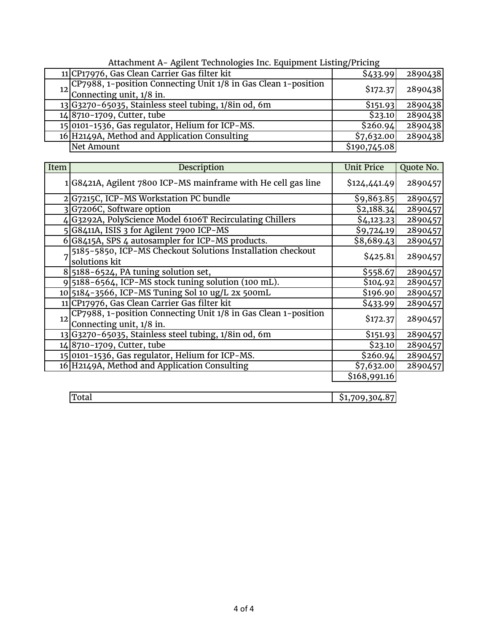| Attachment A- Agnem Technologies inc. Equipment Eisting/Frichig |                                                                   |              |         |  |
|-----------------------------------------------------------------|-------------------------------------------------------------------|--------------|---------|--|
|                                                                 | 11 CP17976, Gas Clean Carrier Gas filter kit                      | \$433.99     | 2890438 |  |
|                                                                 | 12 CP7988, 1-position Connecting Unit 1/8 in Gas Clean 1-position | \$172.37     | 2890438 |  |
|                                                                 | Connecting unit, 1/8 in.                                          |              |         |  |
|                                                                 | $13 G3270 - 65035$ , Stainless steel tubing, $1/8$ in od, 6m      | \$151.93     | 2890438 |  |
|                                                                 | 14 8710-1709, Cutter, tube                                        | \$23.10      | 2890438 |  |
|                                                                 | 15 0101-1536, Gas regulator, Helium for ICP-MS.                   | \$260.94     | 2890438 |  |
|                                                                 | 16 H2149A, Method and Application Consulting                      | \$7,632.00   | 2890438 |  |
|                                                                 | Net Amount                                                        | \$190,745.08 |         |  |

| Attachment A- Agilent Technologies Inc. Equipment Listing/Pricing |  |  |
|-------------------------------------------------------------------|--|--|
|                                                                   |  |  |

| Item | Description                                                                                   | <b>Unit Price</b>      | Quote No. |
|------|-----------------------------------------------------------------------------------------------|------------------------|-----------|
|      | 1 G8421A, Agilent 7800 ICP-MS mainframe with He cell gas line                                 | \$124,441.49           | 2890457   |
|      | 2 G7215C, ICP-MS Workstation PC bundle                                                        | \$9,863.85             | 2890457   |
|      | 3G7206C, Software option                                                                      | $\overline{$}2,188.34$ | 2890457   |
|      | 4 G3292A, PolyScience Model 6106T Recirculating Chillers                                      | \$4,123.23             | 2890457   |
|      | 5 G8411A, ISIS 3 for Agilent 7900 ICP-MS                                                      | \$9,724.19             | 2890457   |
|      | 6 G8415A, SPS 4 autosampler for ICP-MS products.                                              | \$8,689.43             | 2890457   |
|      | 5185-5850, ICP-MS Checkout Solutions Installation checkout<br>solutions kit                   | \$425.81               | 2890457   |
|      | $8\vert 5188-6524$ , PA tuning solution set,                                                  | \$558.67               | 2890457   |
|      | 9 5188-6564, ICP-MS stock tuning solution (100 mL).                                           | \$104.92               | 2890457   |
|      | 10 5184-3566, ICP-MS Tuning Sol 10 ug/L 2x 500mL                                              | \$196.90               | 2890457   |
|      | 11 CP17976, Gas Clean Carrier Gas filter kit                                                  | \$433.99               | 2890457   |
|      | 12 CP7988, 1-position Connecting Unit 1/8 in Gas Clean 1-position<br>Connecting unit, 1/8 in. | \$172.37               | 2890457   |
|      | 13 G3270-65035, Stainless steel tubing, 1/8in od, 6m                                          | \$151.93               | 2890457   |
|      | 148710-1709, Cutter, tube                                                                     | \$23.10                | 2890457   |
|      | 15 0101-1536, Gas regulator, Helium for ICP-MS.                                               | \$260.94               | 2890457   |
|      | 16 H2149A, Method and Application Consulting                                                  | \$7,632.00             | 2890457   |
|      |                                                                                               | \$168,991.16           |           |

| TOLAT |  |
|-------|--|
|-------|--|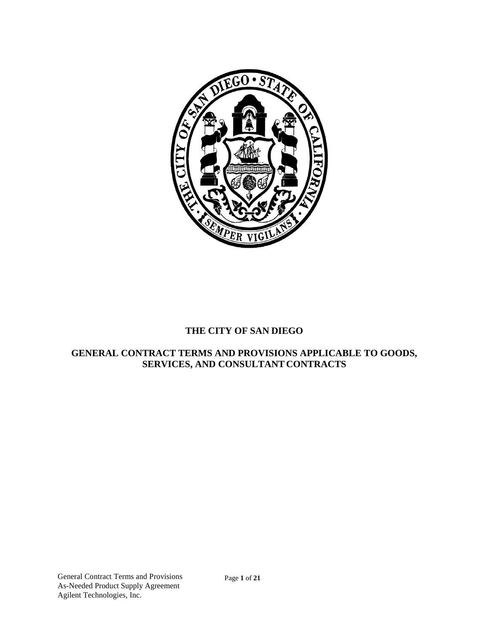

# **THE CITY OF SAN DIEGO**

## **GENERAL CONTRACT TERMS AND PROVISIONS APPLICABLE TO GOODS, SERVICES, AND CONSULTANT CONTRACTS**

Page **1** of **21**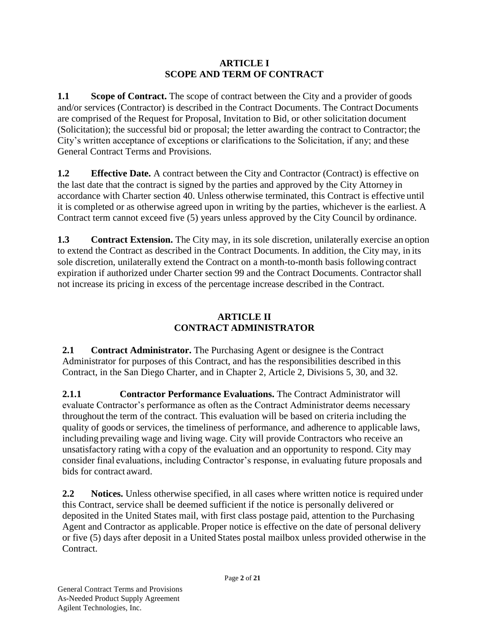## **ARTICLE I SCOPE AND TERM OF CONTRACT**

**1.1 Scope of Contract.** The scope of contract between the City and a provider of goods and/or services (Contractor) is described in the Contract Documents. The Contract Documents are comprised of the Request for Proposal, Invitation to Bid, or other solicitation document (Solicitation); the successful bid or proposal; the letter awarding the contract to Contractor; the City's written acceptance of exceptions or clarifications to the Solicitation, if any; and these General Contract Terms and Provisions.

**1.2 Effective Date.** A contract between the City and Contractor (Contract) is effective on the last date that the contract is signed by the parties and approved by the City Attorney in accordance with Charter section 40. Unless otherwise terminated, this Contract is effective until it is completed or as otherwise agreed upon in writing by the parties, whichever is the earliest. A Contract term cannot exceed five (5) years unless approved by the City Council by ordinance.

**1.3 Contract Extension.** The City may, in its sole discretion, unilaterally exercise an option to extend the Contract as described in the Contract Documents. In addition, the City may, in its sole discretion, unilaterally extend the Contract on a month-to-month basis following contract expiration if authorized under Charter section 99 and the Contract Documents. Contractorshall not increase its pricing in excess of the percentage increase described in the Contract.

# **ARTICLE II CONTRACT ADMINISTRATOR**

**2.1 Contract Administrator.** The Purchasing Agent or designee is the Contract Administrator for purposes of this Contract, and has the responsibilities described in this Contract, in the San Diego Charter, and in Chapter 2, Article 2, Divisions 5, 30, and 32.

**2.1.1 Contractor Performance Evaluations.** The Contract Administrator will evaluate Contractor's performance as often as the Contract Administrator deems necessary throughout the term of the contract. This evaluation will be based on criteria including the quality of goods or services, the timeliness of performance, and adherence to applicable laws, including prevailing wage and living wage. City will provide Contractors who receive an unsatisfactory rating with a copy of the evaluation and an opportunity to respond. City may consider final evaluations, including Contractor's response, in evaluating future proposals and bids for contract award.

**2.2 Notices.** Unless otherwise specified, in all cases where written notice is required under this Contract, service shall be deemed sufficient if the notice is personally delivered or deposited in the United States mail, with first class postage paid, attention to the Purchasing Agent and Contractor as applicable. Proper notice is effective on the date of personal delivery or five (5) days after deposit in a United States postal mailbox unless provided otherwise in the Contract.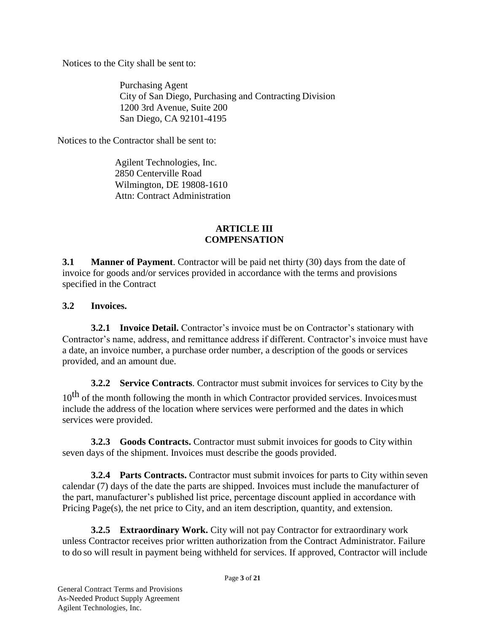Notices to the City shall be sent to:

Purchasing Agent City of San Diego, Purchasing and Contracting Division 1200 3rd Avenue, Suite 200 San Diego, CA 92101-4195

Notices to the Contractor shall be sent to:

Agilent Technologies, Inc. 2850 Centerville Road Wilmington, DE 19808-1610 Attn: Contract Administration

## **ARTICLE III COMPENSATION**

**3.1 Manner of Payment**. Contractor will be paid net thirty (30) days from the date of invoice for goods and/or services provided in accordance with the terms and provisions specified in the Contract

## **3.2 Invoices.**

**3.2.1 Invoice Detail.** Contractor's invoice must be on Contractor's stationary with Contractor's name, address, and remittance address if different. Contractor's invoice must have a date, an invoice number, a purchase order number, a description of the goods or services provided, and an amount due.

**3.2.2 Service Contracts**. Contractor must submit invoices for services to City by the  $10<sup>th</sup>$  of the month following the month in which Contractor provided services. Invoices must include the address of the location where services were performed and the dates in which services were provided.

**3.2.3 Goods Contracts.** Contractor must submit invoices for goods to City within seven days of the shipment. Invoices must describe the goods provided.

**3.2.4 Parts Contracts.** Contractor must submit invoices for parts to City within seven calendar (7) days of the date the parts are shipped. Invoices must include the manufacturer of the part, manufacturer's published list price, percentage discount applied in accordance with Pricing Page(s), the net price to City, and an item description, quantity, and extension.

**3.2.5 Extraordinary Work.** City will not pay Contractor for extraordinary work unless Contractor receives prior written authorization from the Contract Administrator. Failure to do so will result in payment being withheld for services. If approved, Contractor will include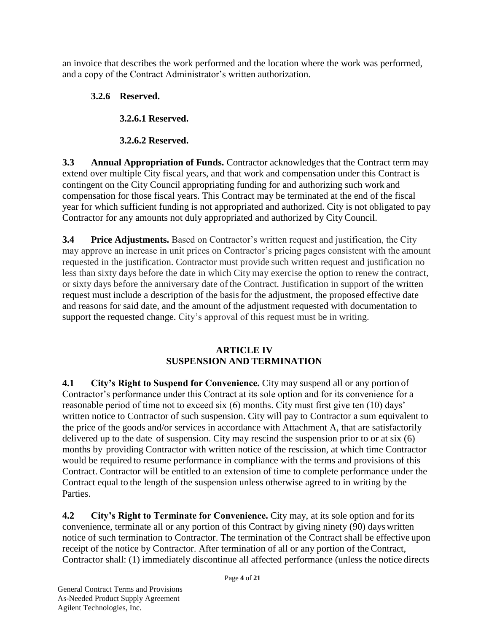an invoice that describes the work performed and the location where the work was performed, and a copy of the Contract Administrator's written authorization.

# **3.2.6 Reserved.**

**3.2.6.1 Reserved.**

**3.2.6.2 Reserved.**

**3.3 Annual Appropriation of Funds.** Contractor acknowledges that the Contract term may extend over multiple City fiscal years, and that work and compensation under this Contract is contingent on the City Council appropriating funding for and authorizing such work and compensation for those fiscal years. This Contract may be terminated at the end of the fiscal year for which sufficient funding is not appropriated and authorized. City is not obligated to pay Contractor for any amounts not duly appropriated and authorized by City Council.

**3.4 Price Adjustments.** Based on Contractor's written request and justification, the City may approve an increase in unit prices on Contractor's pricing pages consistent with the amount requested in the justification. Contractor must provide such written request and justification no less than sixty days before the date in which City may exercise the option to renew the contract, or sixty days before the anniversary date of the Contract. Justification in support of the written request must include a description of the basis for the adjustment, the proposed effective date and reasons for said date, and the amount of the adjustment requested with documentation to support the requested change. City's approval of this request must be in writing.

# **ARTICLE IV SUSPENSION AND TERMINATION**

**4.1 City's Right to Suspend for Convenience.** City may suspend all or any portion of Contractor's performance under this Contract at its sole option and for its convenience for a reasonable period of time not to exceed six (6) months. City must first give ten (10) days' written notice to Contractor of such suspension. City will pay to Contractor a sum equivalent to the price of the goods and/or services in accordance with Attachment A, that are satisfactorily delivered up to the date of suspension. City may rescind the suspension prior to or at six (6) months by providing Contractor with written notice of the rescission, at which time Contractor would be required to resume performance in compliance with the terms and provisions of this Contract. Contractor will be entitled to an extension of time to complete performance under the Contract equal to the length of the suspension unless otherwise agreed to in writing by the Parties.

**4.2 City's Right to Terminate for Convenience.** City may, at its sole option and for its convenience, terminate all or any portion of this Contract by giving ninety (90) days written notice of such termination to Contractor. The termination of the Contract shall be effective upon receipt of the notice by Contractor. After termination of all or any portion of the Contract, Contractor shall: (1) immediately discontinue all affected performance (unless the notice directs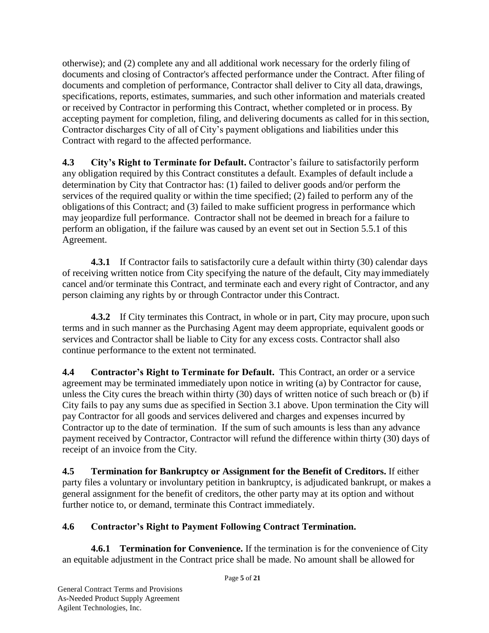otherwise); and (2) complete any and all additional work necessary for the orderly filing of documents and closing of Contractor's affected performance under the Contract. After filing of documents and completion of performance, Contractor shall deliver to City all data, drawings, specifications, reports, estimates, summaries, and such other information and materials created or received by Contractor in performing this Contract, whether completed or in process. By accepting payment for completion, filing, and delivering documents as called for in this section, Contractor discharges City of all of City's payment obligations and liabilities under this Contract with regard to the affected performance.

**4.3 City's Right to Terminate for Default.** Contractor's failure to satisfactorily perform any obligation required by this Contract constitutes a default. Examples of default include a determination by City that Contractor has: (1) failed to deliver goods and/or perform the services of the required quality or within the time specified; (2) failed to perform any of the obligations of this Contract; and (3) failed to make sufficient progress in performance which may jeopardize full performance. Contractor shall not be deemed in breach for a failure to perform an obligation, if the failure was caused by an event set out in Section 5.5.1 of this Agreement.

**4.3.1** If Contractor fails to satisfactorily cure a default within thirty (30) calendar days of receiving written notice from City specifying the nature of the default, City may immediately cancel and/or terminate this Contract, and terminate each and every right of Contractor, and any person claiming any rights by or through Contractor under this Contract.

**4.3.2** If City terminates this Contract, in whole or in part, City may procure, upon such terms and in such manner as the Purchasing Agent may deem appropriate, equivalent goods or services and Contractor shall be liable to City for any excess costs. Contractor shall also continue performance to the extent not terminated.

**4.4 Contractor's Right to Terminate for Default.** This Contract, an order or a service agreement may be terminated immediately upon notice in writing (a) by Contractor for cause, unless the City cures the breach within thirty (30) days of written notice of such breach or (b) if City fails to pay any sums due as specified in Section 3.1 above. Upon termination the City will pay Contractor for all goods and services delivered and charges and expenses incurred by Contractor up to the date of termination. If the sum of such amounts is less than any advance payment received by Contractor, Contractor will refund the difference within thirty (30) days of receipt of an invoice from the City.

**4.5 Termination for Bankruptcy or Assignment for the Benefit of Creditors.** If either party files a voluntary or involuntary petition in bankruptcy, is adjudicated bankrupt, or makes a general assignment for the benefit of creditors, the other party may at its option and without further notice to, or demand, terminate this Contract immediately.

# **4.6 Contractor's Right to Payment Following Contract Termination.**

**4.6.1 Termination for Convenience.** If the termination is for the convenience of City an equitable adjustment in the Contract price shall be made. No amount shall be allowed for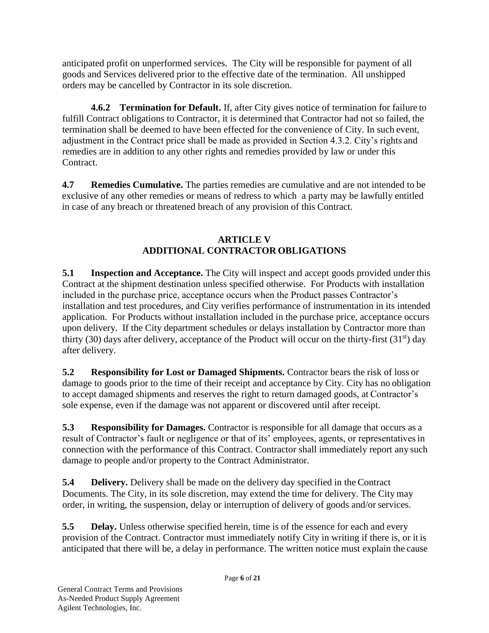anticipated profit on unperformed services. The City will be responsible for payment of all goods and Services delivered prior to the effective date of the termination. All unshipped orders may be cancelled by Contractor in its sole discretion.

**4.6.2 Termination for Default.** If, after City gives notice of termination for failure to fulfill Contract obligations to Contractor, it is determined that Contractor had not so failed, the termination shall be deemed to have been effected for the convenience of City. In such event, adjustment in the Contract price shall be made as provided in Section 4.3.2. City's rights and remedies are in addition to any other rights and remedies provided by law or under this Contract.

**4.7 Remedies Cumulative.** The parties remedies are cumulative and are not intended to be exclusive of any other remedies or means of redress to which a party may be lawfully entitled in case of any breach or threatened breach of any provision of this Contract.

# **ARTICLE V ADDITIONAL CONTRACTOR OBLIGATIONS**

**5.1 Inspection and Acceptance.** The City will inspect and accept goods provided under this Contract at the shipment destination unless specified otherwise. For Products with installation included in the purchase price, acceptance occurs when the Product passes Contractor's installation and test procedures, and City verifies performance of instrumentation in its intended application. For Products without installation included in the purchase price, acceptance occurs upon delivery. If the City department schedules or delays installation by Contractor more than thirty (30) days after delivery, acceptance of the Product will occur on the thirty-first (31<sup>st</sup>) day after delivery.

**5.2 Responsibility for Lost or Damaged Shipments.** Contractor bears the risk of loss or damage to goods prior to the time of their receipt and acceptance by City. City has no obligation to accept damaged shipments and reserves the right to return damaged goods, at Contractor's sole expense, even if the damage was not apparent or discovered until after receipt.

**5.3 Responsibility for Damages.** Contractor is responsible for all damage that occurs as a result of Contractor's fault or negligence or that of its' employees, agents, or representativesin connection with the performance of this Contract. Contractor shall immediately report any such damage to people and/or property to the Contract Administrator.

**5.4 Delivery.** Delivery shall be made on the delivery day specified in the Contract Documents. The City, in its sole discretion, may extend the time for delivery. The City may order, in writing, the suspension, delay or interruption of delivery of goods and/or services.

**5.5 Delay.** Unless otherwise specified herein, time is of the essence for each and every provision of the Contract. Contractor must immediately notify City in writing if there is, or it is anticipated that there will be, a delay in performance. The written notice must explain the cause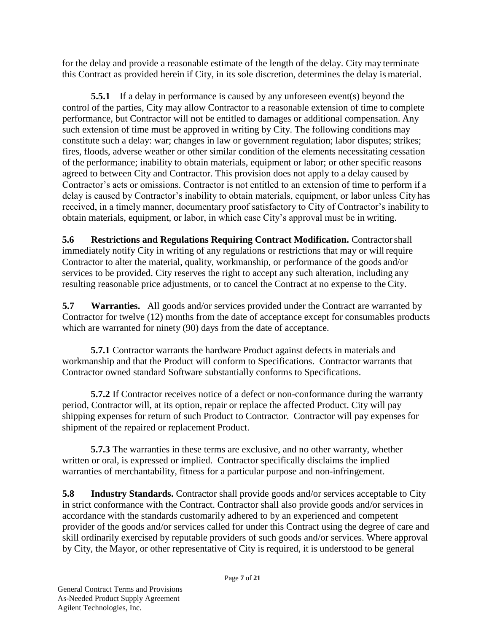for the delay and provide a reasonable estimate of the length of the delay. City may terminate this Contract as provided herein if City, in its sole discretion, determines the delay is material.

**5.5.1** If a delay in performance is caused by any unforeseen event(s) beyond the control of the parties, City may allow Contractor to a reasonable extension of time to complete performance, but Contractor will not be entitled to damages or additional compensation. Any such extension of time must be approved in writing by City. The following conditions may constitute such a delay: war; changes in law or government regulation; labor disputes; strikes; fires, floods, adverse weather or other similar condition of the elements necessitating cessation of the performance; inability to obtain materials, equipment or labor; or other specific reasons agreed to between City and Contractor. This provision does not apply to a delay caused by Contractor's acts or omissions. Contractor is not entitled to an extension of time to perform if a delay is caused by Contractor's inability to obtain materials, equipment, or labor unless City has received, in a timely manner, documentary proof satisfactory to City of Contractor's inability to obtain materials, equipment, or labor, in which case City's approval must be in writing.

**5.6 Restrictions and Regulations Requiring Contract Modification.** Contractorshall immediately notify City in writing of any regulations or restrictions that may or willrequire Contractor to alter the material, quality, workmanship, or performance of the goods and/or services to be provided. City reserves the right to accept any such alteration, including any resulting reasonable price adjustments, or to cancel the Contract at no expense to the City.

**5.7 Warranties.** All goods and/or services provided under the Contract are warranted by Contractor for twelve (12) months from the date of acceptance except for consumables products which are warranted for ninety (90) days from the date of acceptance.

**5.7.1** Contractor warrants the hardware Product against defects in materials and workmanship and that the Product will conform to Specifications. Contractor warrants that Contractor owned standard Software substantially conforms to Specifications.

**5.7.2** If Contractor receives notice of a defect or non-conformance during the warranty period, Contractor will, at its option, repair or replace the affected Product. City will pay shipping expenses for return of such Product to Contractor. Contractor will pay expenses for shipment of the repaired or replacement Product.

**5.7.3** The warranties in these terms are exclusive, and no other warranty, whether written or oral, is expressed or implied. Contractor specifically disclaims the implied warranties of merchantability, fitness for a particular purpose and non-infringement.

**5.8** Industry Standards. Contractor shall provide goods and/or services acceptable to City in strict conformance with the Contract. Contractor shall also provide goods and/or services in accordance with the standards customarily adhered to by an experienced and competent provider of the goods and/or services called for under this Contract using the degree of care and skill ordinarily exercised by reputable providers of such goods and/or services. Where approval by City, the Mayor, or other representative of City is required, it is understood to be general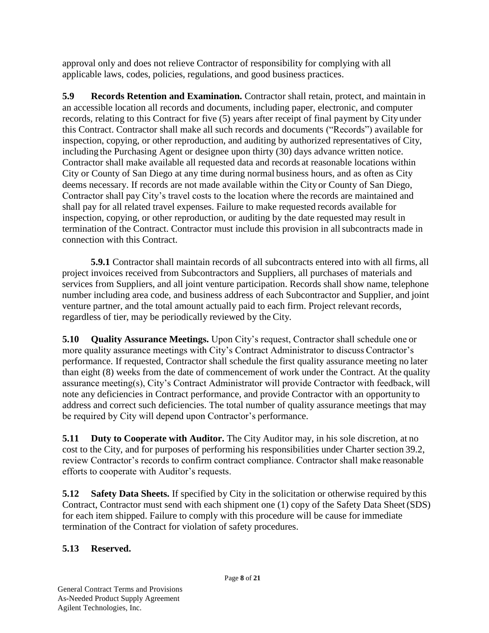approval only and does not relieve Contractor of responsibility for complying with all applicable laws, codes, policies, regulations, and good business practices.

**5.9 Records Retention and Examination.** Contractor shall retain, protect, and maintain in an accessible location all records and documents, including paper, electronic, and computer records, relating to this Contract for five (5) years after receipt of final payment by City under this Contract. Contractor shall make all such records and documents ("Records") available for inspection, copying, or other reproduction, and auditing by authorized representatives of City, including the Purchasing Agent or designee upon thirty (30) days advance written notice. Contractor shall make available all requested data and records at reasonable locations within City or County of San Diego at any time during normal business hours, and as often as City deems necessary. If records are not made available within the City or County of San Diego, Contractor shall pay City's travel costs to the location where the records are maintained and shall pay for all related travel expenses. Failure to make requested records available for inspection, copying, or other reproduction, or auditing by the date requested may result in termination of the Contract. Contractor must include this provision in allsubcontracts made in connection with this Contract.

**5.9.1** Contractor shall maintain records of all subcontracts entered into with all firms, all project invoices received from Subcontractors and Suppliers, all purchases of materials and services from Suppliers, and all joint venture participation. Records shall show name, telephone number including area code, and business address of each Subcontractor and Supplier, and joint venture partner, and the total amount actually paid to each firm. Project relevant records, regardless of tier, may be periodically reviewed by the City.

**5.10 Quality Assurance Meetings.** Upon City's request, Contractor shall schedule one or more quality assurance meetings with City's Contract Administrator to discuss Contractor's performance. If requested, Contractor shall schedule the first quality assurance meeting no later than eight (8) weeks from the date of commencement of work under the Contract. At the quality assurance meeting(s), City's Contract Administrator will provide Contractor with feedback, will note any deficiencies in Contract performance, and provide Contractor with an opportunity to address and correct such deficiencies. The total number of quality assurance meetings that may be required by City will depend upon Contractor's performance.

**5.11 Duty to Cooperate with Auditor.** The City Auditor may, in his sole discretion, at no cost to the City, and for purposes of performing his responsibilities under Charter section 39.2, review Contractor's records to confirm contract compliance. Contractor shall make reasonable efforts to cooperate with Auditor's requests.

**5.12 Safety Data Sheets.** If specified by City in the solicitation or otherwise required by this Contract, Contractor must send with each shipment one (1) copy of the Safety Data Sheet (SDS) for each item shipped. Failure to comply with this procedure will be cause for immediate termination of the Contract for violation of safety procedures.

# **5.13 Reserved.**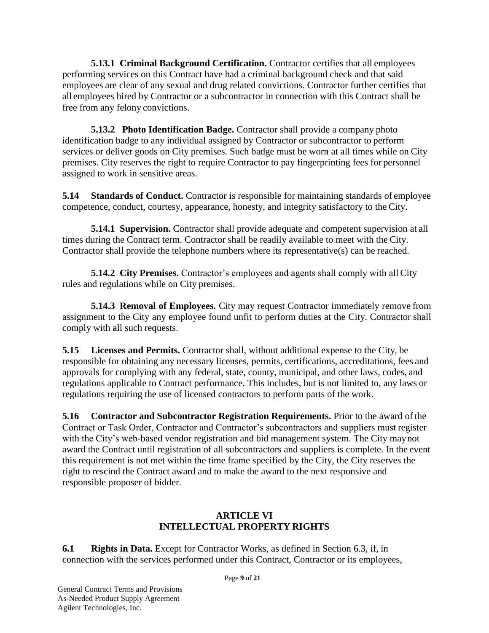**5.13.1 Criminal Background Certification.** Contractor certifies that all employees performing services on this Contract have had a criminal background check and that said employees are clear of any sexual and drug related convictions. Contractor further certifies that all employees hired by Contractor or a subcontractor in connection with this Contract shall be free from any felony convictions.

**5.13.2 Photo Identification Badge.** Contractor shall provide a company photo identification badge to any individual assigned by Contractor or subcontractor to perform services or deliver goods on City premises. Such badge must be worn at all times while on City premises. City reserves the right to require Contractor to pay fingerprinting fees for personnel assigned to work in sensitive areas.

**5.14 Standards of Conduct.** Contractor is responsible for maintaining standards of employee competence, conduct, courtesy, appearance, honesty, and integrity satisfactory to the City.

**5.14.1 Supervision.** Contractor shall provide adequate and competent supervision at all times during the Contract term. Contractor shall be readily available to meet with the City. Contractor shall provide the telephone numbers where its representative(s) can be reached.

**5.14.2 City Premises.** Contractor's employees and agents shall comply with all City rules and regulations while on City premises.

**5.14.3 Removal of Employees.** City may request Contractor immediately remove from assignment to the City any employee found unfit to perform duties at the City. Contractor shall comply with all such requests.

**5.15 Licenses and Permits.** Contractor shall, without additional expense to the City, be responsible for obtaining any necessary licenses, permits, certifications, accreditations, fees and approvals for complying with any federal, state, county, municipal, and other laws, codes, and regulations applicable to Contract performance. This includes, but is not limited to, any laws or regulations requiring the use of licensed contractors to perform parts of the work.

**5.16 Contractor and Subcontractor Registration Requirements.** Prior to the award of the Contract or Task Order, Contractor and Contractor's subcontractors and suppliers must register with the City's web-based vendor registration and bid management system. The City maynot award the Contract until registration of all subcontractors and suppliers is complete. In the event this requirement is not met within the time frame specified by the City, the City reserves the right to rescind the Contract award and to make the award to the next responsive and responsible proposer of bidder.

# **ARTICLE VI INTELLECTUAL PROPERTY RIGHTS**

**6.1 Rights in Data.** Except for Contractor Works, as defined in Section 6.3, if, in connection with the services performed under this Contract, Contractor or its employees,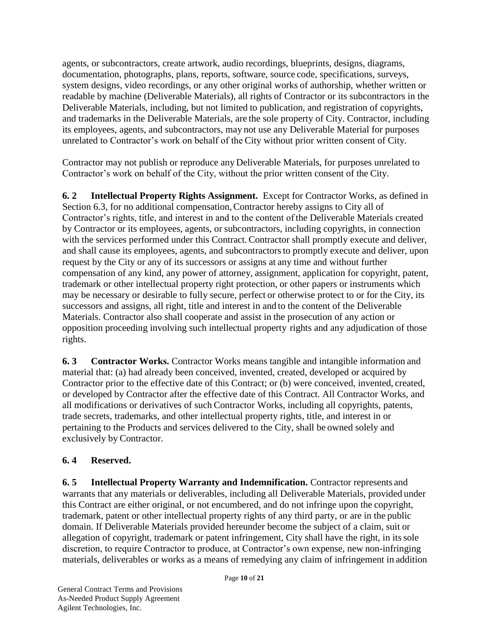agents, or subcontractors, create artwork, audio recordings, blueprints, designs, diagrams, documentation, photographs, plans, reports, software, source code, specifications, surveys, system designs, video recordings, or any other original works of authorship, whether written or readable by machine (Deliverable Materials), all rights of Contractor or its subcontractors in the Deliverable Materials, including, but not limited to publication, and registration of copyrights, and trademarks in the Deliverable Materials, are the sole property of City. Contractor, including its employees, agents, and subcontractors, may not use any Deliverable Material for purposes unrelated to Contractor's work on behalf of the City without prior written consent of City.

Contractor may not publish or reproduce any Deliverable Materials, for purposes unrelated to Contractor's work on behalf of the City, without the prior written consent of the City.

**6. 2 Intellectual Property Rights Assignment.** Except for Contractor Works, as defined in Section 6.3, for no additional compensation,Contractor hereby assigns to City all of Contractor's rights, title, and interest in and to the content of the Deliverable Materials created by Contractor or its employees, agents, or subcontractors, including copyrights, in connection with the services performed under this Contract. Contractor shall promptly execute and deliver, and shall cause its employees, agents, and subcontractorsto promptly execute and deliver, upon request by the City or any of its successors or assigns at any time and without further compensation of any kind, any power of attorney, assignment, application for copyright, patent, trademark or other intellectual property right protection, or other papers or instruments which may be necessary or desirable to fully secure, perfect or otherwise protect to or for the City, its successors and assigns, all right, title and interest in and to the content of the Deliverable Materials. Contractor also shall cooperate and assist in the prosecution of any action or opposition proceeding involving such intellectual property rights and any adjudication of those rights.

**6. 3 Contractor Works.** Contractor Works means tangible and intangible information and material that: (a) had already been conceived, invented, created, developed or acquired by Contractor prior to the effective date of this Contract; or (b) were conceived, invented, created, or developed by Contractor after the effective date of this Contract. All Contractor Works, and all modifications or derivatives of such Contractor Works, including all copyrights, patents, trade secrets, trademarks, and other intellectual property rights, title, and interest in or pertaining to the Products and services delivered to the City, shall be owned solely and exclusively by Contractor.

## **6. 4 Reserved.**

**6. 5 Intellectual Property Warranty and Indemnification.** Contractor represents and warrants that any materials or deliverables, including all Deliverable Materials, provided under this Contract are either original, or not encumbered, and do not infringe upon the copyright, trademark, patent or other intellectual property rights of any third party, or are in the public domain. If Deliverable Materials provided hereunder become the subject of a claim, suit or allegation of copyright, trademark or patent infringement, City shall have the right, in its sole discretion, to require Contractor to produce, at Contractor's own expense, new non-infringing materials, deliverables or works as a means of remedying any claim of infringement in addition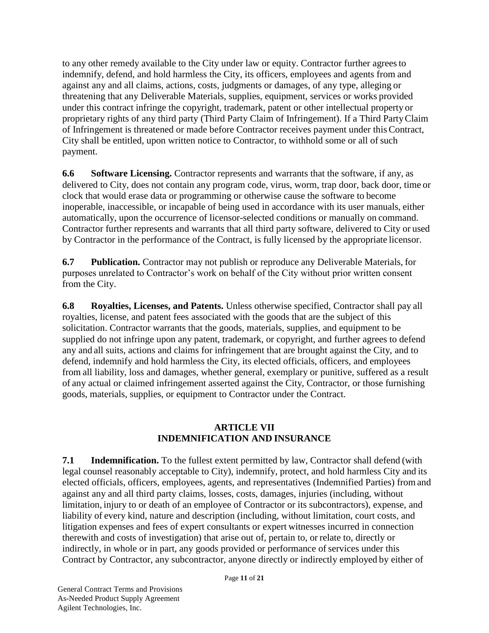to any other remedy available to the City under law or equity. Contractor further agreesto indemnify, defend, and hold harmless the City, its officers, employees and agents from and against any and all claims, actions, costs, judgments or damages, of any type, alleging or threatening that any Deliverable Materials, supplies, equipment, services or works provided under this contract infringe the copyright, trademark, patent or other intellectual property or proprietary rights of any third party (Third Party Claim of Infringement). If a Third PartyClaim of Infringement is threatened or made before Contractor receives payment under this Contract, City shall be entitled, upon written notice to Contractor, to withhold some or all of such payment.

**6.6 Software Licensing.** Contractor represents and warrants that the software, if any, as delivered to City, does not contain any program code, virus, worm, trap door, back door, time or clock that would erase data or programming or otherwise cause the software to become inoperable, inaccessible, or incapable of being used in accordance with its user manuals, either automatically, upon the occurrence of licensor-selected conditions or manually on command. Contractor further represents and warrants that all third party software, delivered to City or used by Contractor in the performance of the Contract, is fully licensed by the appropriate licensor.

**6.7 Publication.** Contractor may not publish or reproduce any Deliverable Materials, for purposes unrelated to Contractor's work on behalf of the City without prior written consent from the City.

**6.8 Royalties, Licenses, and Patents.** Unless otherwise specified, Contractor shall pay all royalties, license, and patent fees associated with the goods that are the subject of this solicitation. Contractor warrants that the goods, materials, supplies, and equipment to be supplied do not infringe upon any patent, trademark, or copyright, and further agrees to defend any and all suits, actions and claims for infringement that are brought against the City, and to defend, indemnify and hold harmless the City, its elected officials, officers, and employees from all liability, loss and damages, whether general, exemplary or punitive, suffered as a result of any actual or claimed infringement asserted against the City, Contractor, or those furnishing goods, materials, supplies, or equipment to Contractor under the Contract.

# **ARTICLE VII INDEMNIFICATION AND INSURANCE**

**7.1 Indemnification.** To the fullest extent permitted by law, Contractor shall defend (with legal counsel reasonably acceptable to City), indemnify, protect, and hold harmless City and its elected officials, officers, employees, agents, and representatives (Indemnified Parties) from and against any and all third party claims, losses, costs, damages, injuries (including, without limitation, injury to or death of an employee of Contractor or its subcontractors), expense, and liability of every kind, nature and description (including, without limitation, court costs, and litigation expenses and fees of expert consultants or expert witnesses incurred in connection therewith and costs of investigation) that arise out of, pertain to, or relate to, directly or indirectly, in whole or in part, any goods provided or performance of services under this Contract by Contractor, any subcontractor, anyone directly or indirectly employed by either of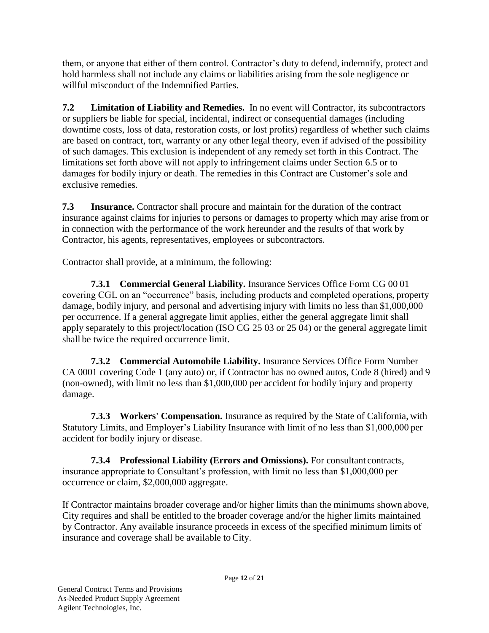them, or anyone that either of them control. Contractor's duty to defend, indemnify, protect and hold harmless shall not include any claims or liabilities arising from the sole negligence or willful misconduct of the Indemnified Parties.

**7.2 Limitation of Liability and Remedies.** In no event will Contractor, its subcontractors or suppliers be liable for special, incidental, indirect or consequential damages (including downtime costs, loss of data, restoration costs, or lost profits) regardless of whether such claims are based on contract, tort, warranty or any other legal theory, even if advised of the possibility of such damages. This exclusion is independent of any remedy set forth in this Contract. The limitations set forth above will not apply to infringement claims under Section 6.5 or to damages for bodily injury or death. The remedies in this Contract are Customer's sole and exclusive remedies.

**7.3 Insurance.** Contractor shall procure and maintain for the duration of the contract insurance against claims for injuries to persons or damages to property which may arise from or in connection with the performance of the work hereunder and the results of that work by Contractor, his agents, representatives, employees or subcontractors.

Contractor shall provide, at a minimum, the following:

**7.3.1 Commercial General Liability.** Insurance Services Office Form CG 00 01 covering CGL on an "occurrence" basis, including products and completed operations, property damage, bodily injury, and personal and advertising injury with limits no less than \$1,000,000 per occurrence. If a general aggregate limit applies, either the general aggregate limit shall apply separately to this project/location (ISO CG 25 03 or 25 04) or the general aggregate limit shall be twice the required occurrence limit.

**7.3.2 Commercial Automobile Liability.** Insurance Services Office Form Number CA 0001 covering Code 1 (any auto) or, if Contractor has no owned autos, Code 8 (hired) and 9 (non-owned), with limit no less than \$1,000,000 per accident for bodily injury and property damage.

**7.3.3 Workers' Compensation.** Insurance as required by the State of California, with Statutory Limits, and Employer's Liability Insurance with limit of no less than \$1,000,000 per accident for bodily injury or disease.

**7.3.4 Professional Liability (Errors and Omissions).** For consultant contracts, insurance appropriate to Consultant's profession, with limit no less than \$1,000,000 per occurrence or claim, \$2,000,000 aggregate.

If Contractor maintains broader coverage and/or higher limits than the minimums shown above, City requires and shall be entitled to the broader coverage and/or the higher limits maintained by Contractor. Any available insurance proceeds in excess of the specified minimum limits of insurance and coverage shall be available to City.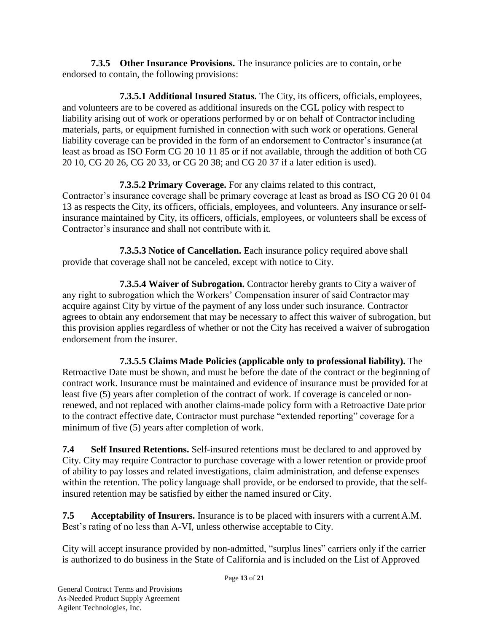**7.3.5 Other Insurance Provisions.** The insurance policies are to contain, or be endorsed to contain, the following provisions:

**7.3.5.1 Additional Insured Status.** The City, its officers, officials, employees, and volunteers are to be covered as additional insureds on the CGL policy with respect to liability arising out of work or operations performed by or on behalf of Contractor including materials, parts, or equipment furnished in connection with such work or operations. General liability coverage can be provided in the form of an endorsement to Contractor's insurance (at least as broad as ISO Form CG 20 10 11 85 or if not available, through the addition of both CG 20 10, CG 20 26, CG 20 33, or CG 20 38; and CG 20 37 if a later edition is used).

**7.3.5.2 Primary Coverage.** For any claims related to this contract, Contractor's insurance coverage shall be primary coverage at least as broad as ISO CG 20 01 04 13 as respects the City, its officers, officials, employees, and volunteers. Any insurance orselfinsurance maintained by City, its officers, officials, employees, or volunteers shall be excess of Contractor's insurance and shall not contribute with it.

**7.3.5.3 Notice of Cancellation.** Each insurance policy required above shall provide that coverage shall not be canceled, except with notice to City.

**7.3.5.4 Waiver of Subrogation.** Contractor hereby grants to City a waiver of any right to subrogation which the Workers' Compensation insurer of said Contractor may acquire against City by virtue of the payment of any loss under such insurance. Contractor agrees to obtain any endorsement that may be necessary to affect this waiver of subrogation, but this provision applies regardless of whether or not the City has received a waiver of subrogation endorsement from the insurer.

**7.3.5.5 Claims Made Policies (applicable only to professional liability).** The Retroactive Date must be shown, and must be before the date of the contract or the beginning of contract work. Insurance must be maintained and evidence of insurance must be provided for at least five (5) years after completion of the contract of work. If coverage is canceled or nonrenewed, and not replaced with another claims-made policy form with a Retroactive Date prior to the contract effective date, Contractor must purchase "extended reporting" coverage for a minimum of five (5) years after completion of work.

**7.4 Self Insured Retentions.** Self-insured retentions must be declared to and approved by City. City may require Contractor to purchase coverage with a lower retention or provide proof of ability to pay losses and related investigations, claim administration, and defense expenses within the retention. The policy language shall provide, or be endorsed to provide, that the selfinsured retention may be satisfied by either the named insured or City.

**7.5 Acceptability of Insurers.** Insurance is to be placed with insurers with a current A.M. Best's rating of no less than A-VI, unless otherwise acceptable to City.

City will accept insurance provided by non-admitted, "surplus lines" carriers only if the carrier is authorized to do business in the State of California and is included on the List of Approved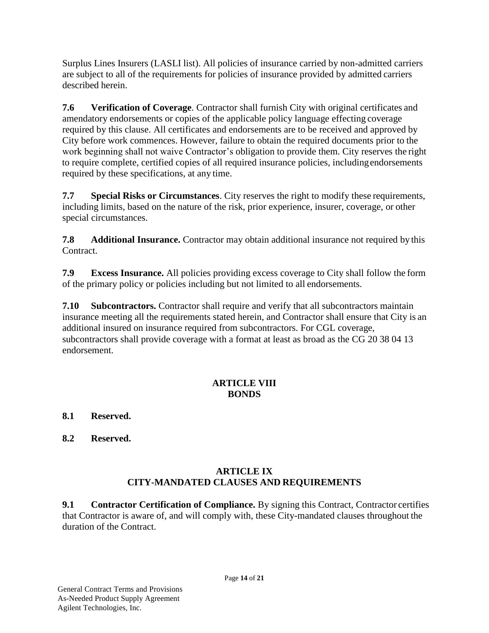Surplus Lines Insurers (LASLI list). All policies of insurance carried by non-admitted carriers are subject to all of the requirements for policies of insurance provided by admitted carriers described herein.

**7.6 Verification of Coverage**. Contractor shall furnish City with original certificates and amendatory endorsements or copies of the applicable policy language effecting coverage required by this clause. All certificates and endorsements are to be received and approved by City before work commences. However, failure to obtain the required documents prior to the work beginning shall not waive Contractor's obligation to provide them. City reserves the right to require complete, certified copies of all required insurance policies, includingendorsements required by these specifications, at any time.

**7.7 Special Risks or Circumstances**. City reserves the right to modify these requirements, including limits, based on the nature of the risk, prior experience, insurer, coverage, or other special circumstances.

**7.8 Additional Insurance.** Contractor may obtain additional insurance not required by this Contract.

**7.9 Excess Insurance.** All policies providing excess coverage to City shall follow the form of the primary policy or policies including but not limited to all endorsements.

**7.10 Subcontractors.** Contractor shall require and verify that all subcontractors maintain insurance meeting all the requirements stated herein, and Contractor shall ensure that City is an additional insured on insurance required from subcontractors. For CGL coverage, subcontractors shall provide coverage with a format at least as broad as the CG 20 38 04 13 endorsement.

# **ARTICLE VIII BONDS**

# **8.1 Reserved.**

**8.2 Reserved.**

# **ARTICLE IX CITY-MANDATED CLAUSES AND REQUIREMENTS**

**9.1 Contractor Certification of Compliance.** By signing this Contract, Contractor certifies that Contractor is aware of, and will comply with, these City-mandated clauses throughout the duration of the Contract.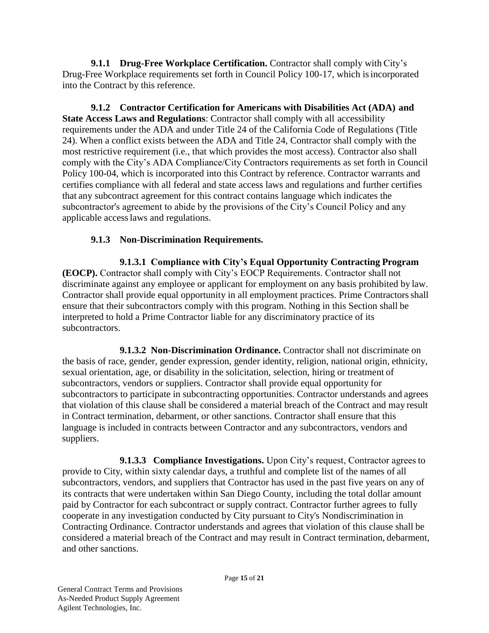**9.1.1 Drug-Free Workplace Certification.** Contractor shall comply with City's Drug-Free Workplace requirements set forth in Council Policy 100-17, which isincorporated into the Contract by this reference.

**9.1.2 Contractor Certification for Americans with Disabilities Act (ADA) and State Access Laws and Regulations**: Contractor shall comply with all accessibility requirements under the ADA and under Title 24 of the California Code of Regulations (Title 24). When a conflict exists between the ADA and Title 24, Contractor shall comply with the most restrictive requirement (i.e., that which provides the most access). Contractor also shall comply with the City's ADA Compliance/City Contractors requirements as set forth in Council Policy 100-04, which is incorporated into this Contract by reference. Contractor warrants and certifies compliance with all federal and state access laws and regulations and further certifies that any subcontract agreement for this contract contains language which indicates the subcontractor's agreement to abide by the provisions of the City's Council Policy and any applicable accesslaws and regulations.

# **9.1.3 Non-Discrimination Requirements.**

**9.1.3.1 Compliance with City's Equal Opportunity Contracting Program (EOCP).** Contractor shall comply with City's EOCP Requirements. Contractor shall not discriminate against any employee or applicant for employment on any basis prohibited by law. Contractor shall provide equal opportunity in all employment practices. Prime Contractors shall ensure that their subcontractors comply with this program. Nothing in this Section shall be interpreted to hold a Prime Contractor liable for any discriminatory practice of its subcontractors.

**9.1.3.2 Non-Discrimination Ordinance.** Contractor shall not discriminate on the basis of race, gender, gender expression, gender identity, religion, national origin, ethnicity, sexual orientation, age, or disability in the solicitation, selection, hiring or treatment of subcontractors, vendors or suppliers. Contractor shall provide equal opportunity for subcontractors to participate in subcontracting opportunities. Contractor understands and agrees that violation of this clause shall be considered a material breach of the Contract and may result in Contract termination, debarment, or other sanctions. Contractor shall ensure that this language is included in contracts between Contractor and any subcontractors, vendors and suppliers.

**9.1.3.3 Compliance Investigations.** Upon City's request, Contractor agrees to provide to City, within sixty calendar days, a truthful and complete list of the names of all subcontractors, vendors, and suppliers that Contractor has used in the past five years on any of its contracts that were undertaken within San Diego County, including the total dollar amount paid by Contractor for each subcontract or supply contract. Contractor further agrees to fully cooperate in any investigation conducted by City pursuant to City's Nondiscrimination in Contracting Ordinance. Contractor understands and agrees that violation of this clause shall be considered a material breach of the Contract and may result in Contract termination, debarment, and other sanctions.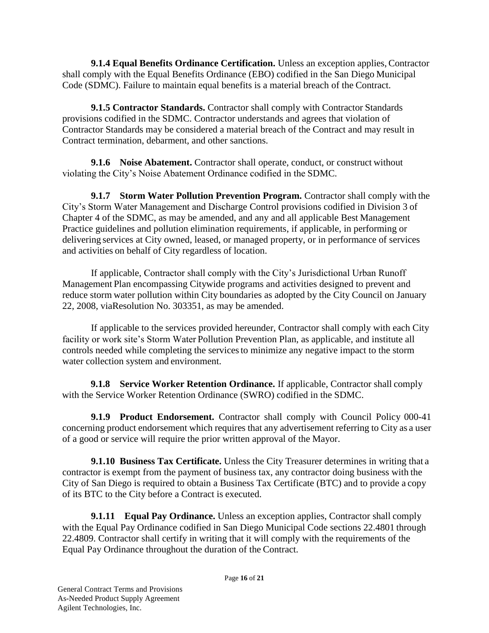**9.1.4 Equal Benefits Ordinance Certification.** Unless an exception applies, Contractor shall comply with the Equal Benefits Ordinance (EBO) codified in the San Diego Municipal Code (SDMC). Failure to maintain equal benefits is a material breach of the Contract.

**9.1.5 Contractor Standards.** Contractor shall comply with Contractor Standards provisions codified in the SDMC. Contractor understands and agrees that violation of Contractor Standards may be considered a material breach of the Contract and may result in Contract termination, debarment, and other sanctions.

**9.1.6 Noise Abatement.** Contractor shall operate, conduct, or construct without violating the City's Noise Abatement Ordinance codified in the SDMC.

**9.1.7 Storm Water Pollution Prevention Program.** Contractor shall comply with the City's Storm Water Management and Discharge Control provisions codified in Division 3 of Chapter 4 of the SDMC, as may be amended, and any and all applicable Best Management Practice guidelines and pollution elimination requirements, if applicable, in performing or delivering services at City owned, leased, or managed property, or in performance of services and activities on behalf of City regardless of location.

If applicable, Contractor shall comply with the City's Jurisdictional Urban Runoff Management Plan encompassing Citywide programs and activities designed to prevent and reduce storm water pollution within City boundaries as adopted by the City Council on January 22, 2008, viaResolution No. 303351, as may be amended.

If applicable to the services provided hereunder, Contractor shall comply with each City facility or work site's Storm Water Pollution Prevention Plan, as applicable, and institute all controls needed while completing the servicesto minimize any negative impact to the storm water collection system and environment.

**9.1.8 Service Worker Retention Ordinance.** If applicable, Contractor shall comply with the Service Worker Retention Ordinance (SWRO) codified in the SDMC.

**9.1.9 Product Endorsement.** Contractor shall comply with Council Policy 000-41 concerning product endorsement which requires that any advertisement referring to City as a user of a good or service will require the prior written approval of the Mayor.

**9.1.10 Business Tax Certificate.** Unless the City Treasurer determines in writing that a contractor is exempt from the payment of business tax, any contractor doing business with the City of San Diego is required to obtain a Business Tax Certificate (BTC) and to provide a copy of its BTC to the City before a Contract is executed.

**9.1.11 • Equal Pay Ordinance.** Unless an exception applies, Contractor shall comply with the Equal Pay Ordinance codified in San Diego Municipal Code sections 22.4801 through 22.4809. Contractor shall certify in writing that it will comply with the requirements of the Equal Pay Ordinance throughout the duration of the Contract.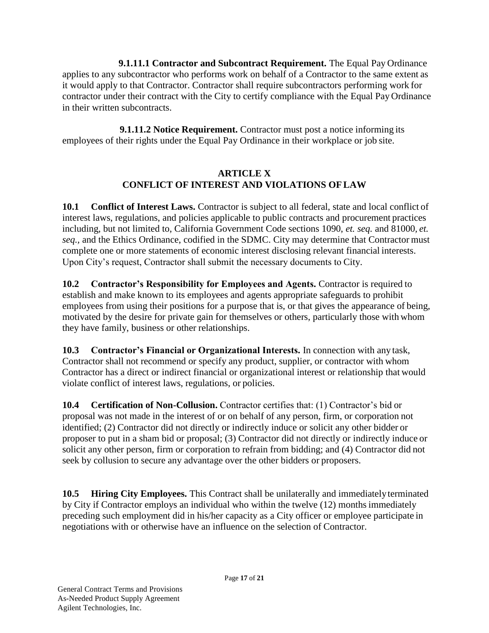**9.1.11.1 Contractor and Subcontract Requirement.** The Equal Pay Ordinance applies to any subcontractor who performs work on behalf of a Contractor to the same extent as it would apply to that Contractor. Contractor shall require subcontractors performing work for contractor under their contract with the City to certify compliance with the Equal Pay Ordinance in their written subcontracts.

**9.1.11.2 Notice Requirement.** Contractor must post a notice informing its employees of their rights under the Equal Pay Ordinance in their workplace or job site.

# **ARTICLE X CONFLICT OF INTEREST AND VIOLATIONS OFLAW**

**10.1 Conflict of Interest Laws.** Contractor is subject to all federal, state and local conflict of interest laws, regulations, and policies applicable to public contracts and procurement practices including, but not limited to, California Government Code sections 1090, *et. seq.* and 81000*, et. seq.,* and the Ethics Ordinance, codified in the SDMC. City may determine that Contractor must complete one or more statements of economic interest disclosing relevant financial interests. Upon City's request, Contractor shall submit the necessary documents to City.

**10.2 Contractor's Responsibility for Employees and Agents.** Contractor is required to establish and make known to its employees and agents appropriate safeguards to prohibit employees from using their positions for a purpose that is, or that gives the appearance of being, motivated by the desire for private gain for themselves or others, particularly those with whom they have family, business or other relationships.

**10.3 Contractor's Financial or Organizational Interests.** In connection with any task, Contractor shall not recommend or specify any product, supplier, or contractor with whom Contractor has a direct or indirect financial or organizational interest or relationship that would violate conflict of interest laws, regulations, or policies.

**10.4 Certification of Non-Collusion.** Contractor certifies that: (1) Contractor's bid or proposal was not made in the interest of or on behalf of any person, firm, or corporation not identified; (2) Contractor did not directly or indirectly induce or solicit any other bidder or proposer to put in a sham bid or proposal; (3) Contractor did not directly or indirectly induce or solicit any other person, firm or corporation to refrain from bidding; and (4) Contractor did not seek by collusion to secure any advantage over the other bidders or proposers.

**10.5 Hiring City Employees.** This Contract shall be unilaterally and immediately terminated by City if Contractor employs an individual who within the twelve (12) months immediately preceding such employment did in his/her capacity as a City officer or employee participate in negotiations with or otherwise have an influence on the selection of Contractor.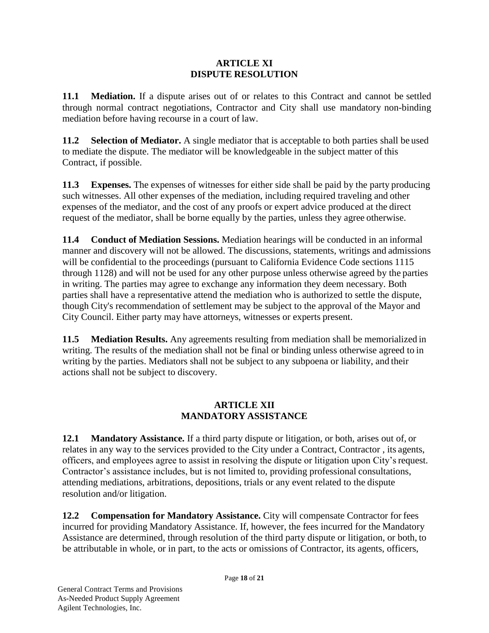#### **ARTICLE XI DISPUTE RESOLUTION**

**11.1 Mediation.** If a dispute arises out of or relates to this Contract and cannot be settled through normal contract negotiations, Contractor and City shall use mandatory non-binding mediation before having recourse in a court of law.

**11.2 Selection of Mediator.** A single mediator that is acceptable to both parties shall be used to mediate the dispute. The mediator will be knowledgeable in the subject matter of this Contract, if possible.

**11.3 Expenses.** The expenses of witnesses for either side shall be paid by the party producing such witnesses. All other expenses of the mediation, including required traveling and other expenses of the mediator, and the cost of any proofs or expert advice produced at the direct request of the mediator, shall be borne equally by the parties, unless they agree otherwise.

**11.4 Conduct of Mediation Sessions.** Mediation hearings will be conducted in an informal manner and discovery will not be allowed. The discussions, statements, writings and admissions will be confidential to the proceedings (pursuant to California Evidence Code sections 1115 through 1128) and will not be used for any other purpose unless otherwise agreed by the parties in writing. The parties may agree to exchange any information they deem necessary. Both parties shall have a representative attend the mediation who is authorized to settle the dispute, though City's recommendation of settlement may be subject to the approval of the Mayor and City Council. Either party may have attorneys, witnesses or experts present.

**11.5 Mediation Results.** Any agreements resulting from mediation shall be memorialized in writing. The results of the mediation shall not be final or binding unless otherwise agreed to in writing by the parties. Mediators shall not be subject to any subpoena or liability, and their actions shall not be subject to discovery.

# **ARTICLE XII MANDATORY ASSISTANCE**

**12.1 Mandatory Assistance.** If a third party dispute or litigation, or both, arises out of, or relates in any way to the services provided to the City under a Contract, Contractor , its agents, officers, and employees agree to assist in resolving the dispute or litigation upon City'srequest. Contractor's assistance includes, but is not limited to, providing professional consultations, attending mediations, arbitrations, depositions, trials or any event related to the dispute resolution and/or litigation.

**12.2 Compensation for Mandatory Assistance.** City will compensate Contractor for fees incurred for providing Mandatory Assistance. If, however, the fees incurred for the Mandatory Assistance are determined, through resolution of the third party dispute or litigation, or both, to be attributable in whole, or in part, to the acts or omissions of Contractor, its agents, officers,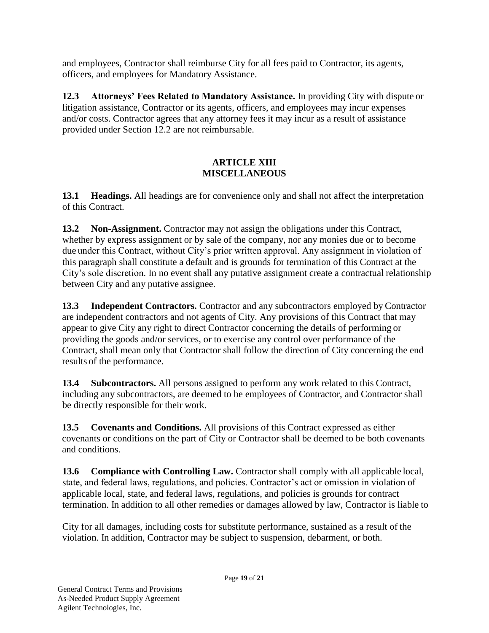and employees, Contractor shall reimburse City for all fees paid to Contractor, its agents, officers, and employees for Mandatory Assistance.

**12.3 Attorneys' Fees Related to Mandatory Assistance.** In providing City with dispute or litigation assistance, Contractor or its agents, officers, and employees may incur expenses and/or costs. Contractor agrees that any attorney fees it may incur as a result of assistance provided under Section 12.2 are not reimbursable.

# **ARTICLE XIII MISCELLANEOUS**

**13.1 Headings.** All headings are for convenience only and shall not affect the interpretation of this Contract.

**13.2 Non-Assignment.** Contractor may not assign the obligations under this Contract, whether by express assignment or by sale of the company, nor any monies due or to become due under this Contract, without City's prior written approval. Any assignment in violation of this paragraph shall constitute a default and is grounds for termination of this Contract at the City's sole discretion. In no event shall any putative assignment create a contractual relationship between City and any putative assignee.

**13.3 Independent Contractors.** Contractor and any subcontractors employed by Contractor are independent contractors and not agents of City. Any provisions of this Contract that may appear to give City any right to direct Contractor concerning the details of performing or providing the goods and/or services, or to exercise any control over performance of the Contract, shall mean only that Contractor shall follow the direction of City concerning the end results of the performance.

**13.4 Subcontractors.** All persons assigned to perform any work related to this Contract, including any subcontractors, are deemed to be employees of Contractor, and Contractor shall be directly responsible for their work.

**13.5 Covenants and Conditions.** All provisions of this Contract expressed as either covenants or conditions on the part of City or Contractor shall be deemed to be both covenants and conditions.

**13.6 Compliance with Controlling Law.** Contractor shall comply with all applicable local, state, and federal laws, regulations, and policies. Contractor's act or omission in violation of applicable local, state, and federal laws, regulations, and policies is grounds for contract termination. In addition to all other remedies or damages allowed by law, Contractor is liable to

City for all damages, including costs for substitute performance, sustained as a result of the violation. In addition, Contractor may be subject to suspension, debarment, or both.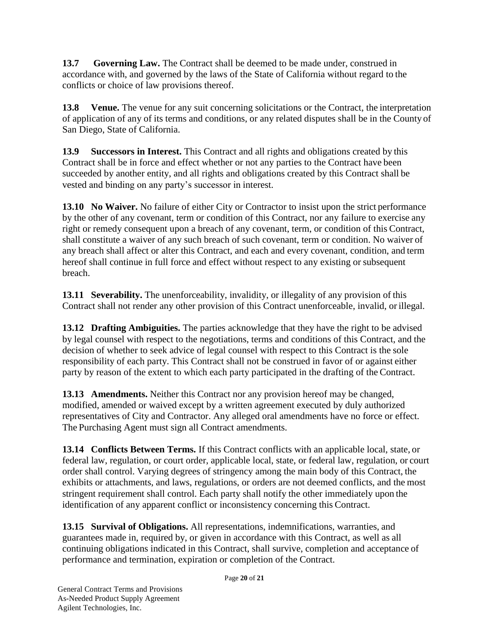**13.7 Governing Law.** The Contract shall be deemed to be made under, construed in accordance with, and governed by the laws of the State of California without regard to the conflicts or choice of law provisions thereof.

**13.8 Venue.** The venue for any suit concerning solicitations or the Contract, the interpretation of application of any of its terms and conditions, or any related disputes shall be in the County of San Diego, State of California.

**13.9 Successors in Interest.** This Contract and all rights and obligations created by this Contract shall be in force and effect whether or not any parties to the Contract have been succeeded by another entity, and all rights and obligations created by this Contract shall be vested and binding on any party's successor in interest.

**13.10 No Waiver.** No failure of either City or Contractor to insist upon the strict performance by the other of any covenant, term or condition of this Contract, nor any failure to exercise any right or remedy consequent upon a breach of any covenant, term, or condition of this Contract, shall constitute a waiver of any such breach of such covenant, term or condition. No waiver of any breach shall affect or alter this Contract, and each and every covenant, condition, and term hereof shall continue in full force and effect without respect to any existing or subsequent breach.

**13.11 Severability.** The unenforceability, invalidity, or illegality of any provision of this Contract shall not render any other provision of this Contract unenforceable, invalid, or illegal.

**13.12 Drafting Ambiguities.** The parties acknowledge that they have the right to be advised by legal counsel with respect to the negotiations, terms and conditions of this Contract, and the decision of whether to seek advice of legal counsel with respect to this Contract is the sole responsibility of each party. This Contract shall not be construed in favor of or against either party by reason of the extent to which each party participated in the drafting of the Contract.

**13.13 Amendments.** Neither this Contract nor any provision hereof may be changed, modified, amended or waived except by a written agreement executed by duly authorized representatives of City and Contractor. Any alleged oral amendments have no force or effect. The Purchasing Agent must sign all Contract amendments.

**13.14 Conflicts Between Terms.** If this Contract conflicts with an applicable local, state, or federal law, regulation, or court order, applicable local, state, or federal law, regulation, or court order shall control. Varying degrees of stringency among the main body of this Contract, the exhibits or attachments, and laws, regulations, or orders are not deemed conflicts, and the most stringent requirement shall control. Each party shall notify the other immediately upon the identification of any apparent conflict or inconsistency concerning this Contract.

**13.15 Survival of Obligations.** All representations, indemnifications, warranties, and guarantees made in, required by, or given in accordance with this Contract, as well as all continuing obligations indicated in this Contract, shall survive, completion and acceptance of performance and termination, expiration or completion of the Contract.